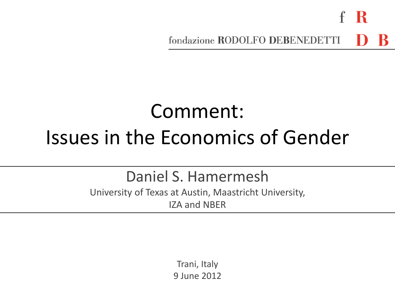- R fondazione RODOLFO DEBENEDETTI

# Comment: Issues in the Economics of Gender

Daniel S. Hamermesh

University of Texas at Austin, Maastricht University, IZA and NBER

> Trani, Italy 9 June 2012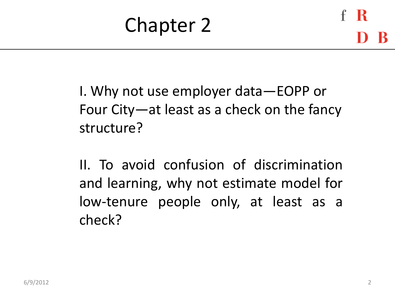I. Why not use employer data—EOPP or Four City—at least as a check on the fancy structure?

II. To avoid confusion of discrimination and learning, why not estimate model for low-tenure people only, at least as a check?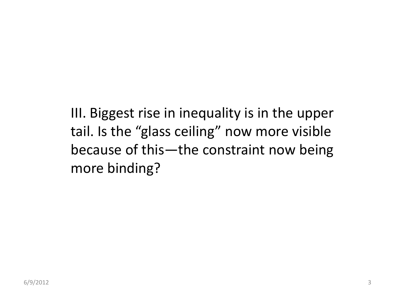III. Biggest rise in inequality is in the upper tail. Is the "glass ceiling" now more visible because of this—the constraint now being more binding?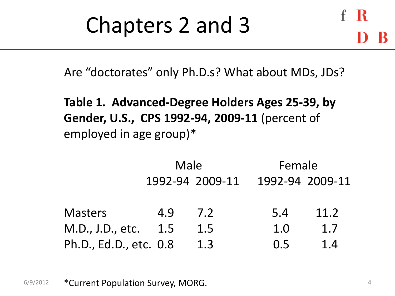# Chapters 2 and 3

Are "doctorates" only Ph.D.s? What about MDs, JDs?

**Table 1. Advanced-Degree Holders Ages 25-39, by Gender, U.S., CPS 1992-94, 2009-11** (percent of employed in age group)\*

|                        |     | Male            | Female |                 |  |
|------------------------|-----|-----------------|--------|-----------------|--|
|                        |     | 1992-94 2009-11 |        | 1992-94 2009-11 |  |
| <b>Masters</b>         | 4.9 | 7.2             | 5.4    | 11.2            |  |
| M.D., J.D., etc.       | 1.5 | 1.5             | 1.0    | 1.7             |  |
| Ph.D., Ed.D., etc. 0.8 |     | 1.3             | 0.5    | 1.4             |  |

6/9/2012 **\*Current Population Survey, MORG.** And the set of the set of the set of the set of the set of the set of the set of the set of the set of the set of the set of the set of the set of the set of the set of the set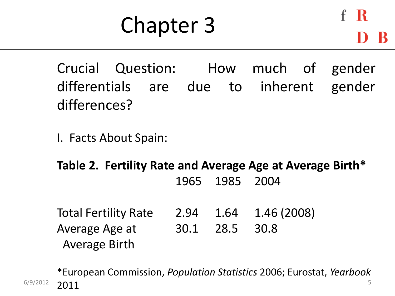# Chapter 3

- К

Crucial Question: How much of gender differentials are due to inherent gender differences?

I. Facts About Spain:

**Table 2. Fertility Rate and Average Age at Average Birth\*** 1965 1985 2004

Total Fertility Rate 2.94 1.64 1.46 (2008) Average Age at 30.1 28.5 30.8 Average Birth

 $6/9/2012$  2011 \*European Commission, *Population Statistics* 2006; Eurostat, *Yearbook* 2011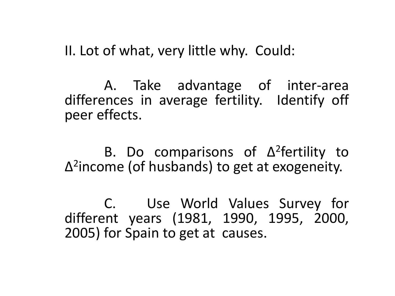II. Lot of what, very little why. Could:

A. Take advantage of inter-area differences in average fertility. Identify off peer effects.

B. Do comparisons of Δ 2 fertility to Δ 2 income (of husbands) to get at exogeneity.

C. Use World Values Survey for different years (1981, 1990, 1995, 2000, 2005) for Spain to get at causes.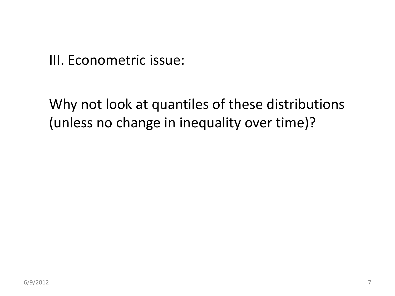III. Econometric issue:

Why not look at quantiles of these distributions (unless no change in inequality over time)?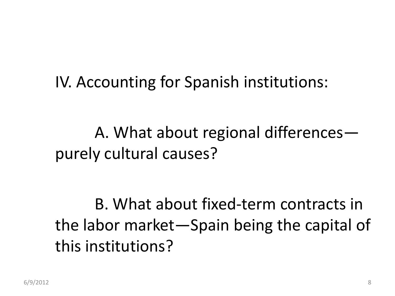### IV. Accounting for Spanish institutions:

A. What about regional differences purely cultural causes?

B. What about fixed-term contracts in the labor market—Spain being the capital of this institutions?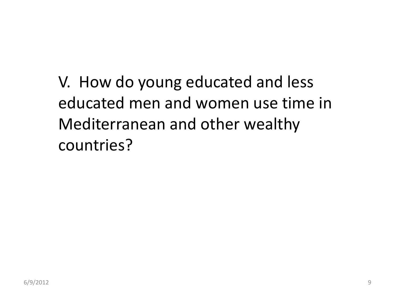V. How do young educated and less educated men and women use time in Mediterranean and other wealthy countries?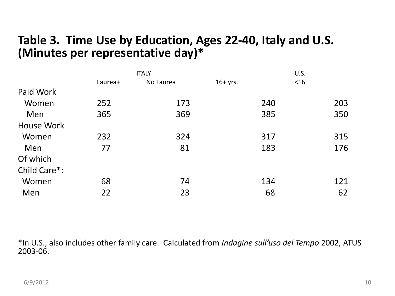#### **Table 3. Time Use by Education, Ages 22-40, Italy and U.S. (Minutes per representative day)\***

|                   |         | <b>ITALY</b> |            | U.S. |        |     |
|-------------------|---------|--------------|------------|------|--------|-----|
|                   | Laurea+ | No Laurea    | $16+$ yrs. |      | $<$ 16 |     |
| Paid Work         |         |              |            |      |        |     |
| Women             | 252     | 173          |            | 240  |        | 203 |
| Men               | 365     | 369          |            | 385  |        | 350 |
| <b>House Work</b> |         |              |            |      |        |     |
| Women             | 232     | 324          |            | 317  |        | 315 |
| Men               | 77      | 81           |            | 183  |        | 176 |
| Of which          |         |              |            |      |        |     |
| Child Care*:      |         |              |            |      |        |     |
| Women             | 68      | 74           |            | 134  |        | 121 |
| Men               | 22      | 23           |            | 68   |        | 62  |

\*In U.S., also includes other family care. Calculated from *Indagine sull'uso del Tempo* 2002, ATUS 2003-06.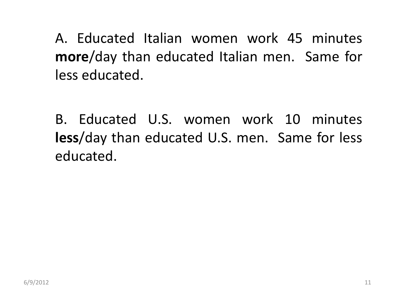A. Educated Italian women work 45 minutes **more**/day than educated Italian men. Same for less educated.

B. Educated U.S. women work 10 minutes **less**/day than educated U.S. men. Same for less educated.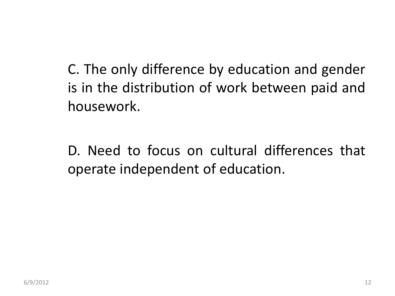C. The only difference by education and gender is in the distribution of work between paid and housework.

D. Need to focus on cultural differences that operate independent of education.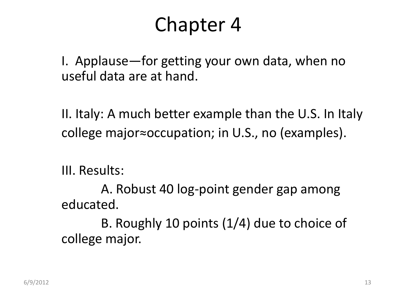## Chapter 4

I. Applause—for getting your own data, when no useful data are at hand.

II. Italy: A much better example than the U.S. In Italy college major≈occupation; in U.S., no (examples).

III. Results:

A. Robust 40 log-point gender gap among educated.

B. Roughly 10 points (1/4) due to choice of college major.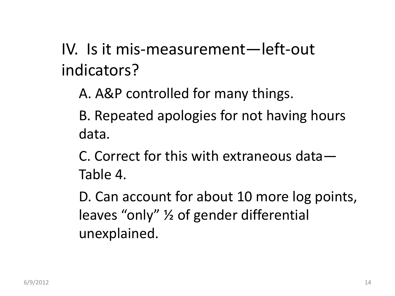IV. Is it mis-measurement—left-out indicators?

A. A&P controlled for many things.

B. Repeated apologies for not having hours data.

C. Correct for this with extraneous data— Table 4.

D. Can account for about 10 more log points, leaves "only" ½ of gender differential unexplained.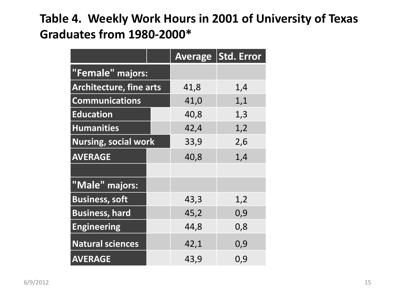#### **Table 4. Weekly Work Hours in 2001 of University of Texas Graduates from 1980-2000\***

|                                |  |      | Average Std. Error |
|--------------------------------|--|------|--------------------|
| "Female" majors:               |  |      |                    |
| <b>Architecture, fine arts</b> |  | 41,8 | 1,4                |
| <b>Communications</b>          |  | 41,0 | 1,1                |
| <b>Education</b>               |  | 40,8 | 1,3                |
| <b>Humanities</b>              |  | 42,4 | 1,2                |
| <b>Nursing, social work</b>    |  | 33,9 | 2,6                |
| <b>AVERAGE</b>                 |  | 40,8 | 1,4                |
|                                |  |      |                    |
| "Male" majors:                 |  |      |                    |
| <b>Business, soft</b>          |  | 43,3 | 1,2                |
| <b>Business, hard</b>          |  | 45,2 | 0,9                |
| <b>Engineering</b>             |  | 44,8 | 0,8                |
| <b>Natural sciences</b>        |  | 42,1 | 0,9                |
| <b>AVERAGE</b>                 |  | 43,9 | 0,9                |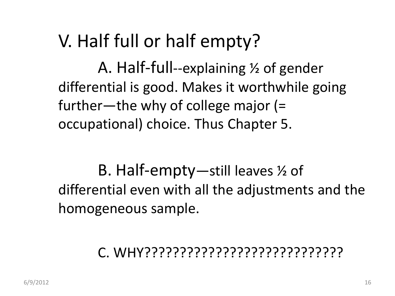### V. Half full or half empty?

A. Half-full--explaining ½ of gender differential is good. Makes it worthwhile going further—the why of college major (= occupational) choice. Thus Chapter 5.

B. Half-empty—still leaves ½ of differential even with all the adjustments and the homogeneous sample.

### C. WHY????????????????????????????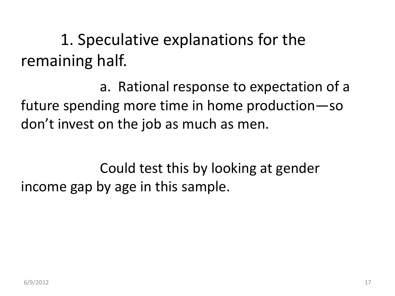1. Speculative explanations for the remaining half.

a. Rational response to expectation of a future spending more time in home production—so don't invest on the job as much as men.

Could test this by looking at gender income gap by age in this sample.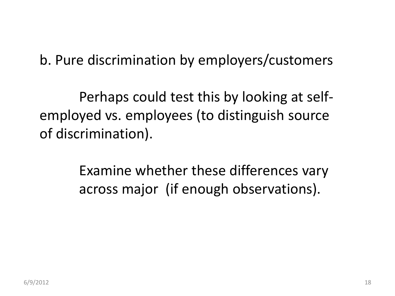#### b. Pure discrimination by employers/customers

Perhaps could test this by looking at selfemployed vs. employees (to distinguish source of discrimination).

> Examine whether these differences vary across major (if enough observations).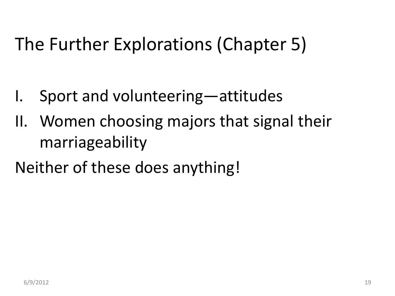## The Further Explorations (Chapter 5)

- I. Sport and volunteering—attitudes
- II. Women choosing majors that signal their marriageability
- Neither of these does anything!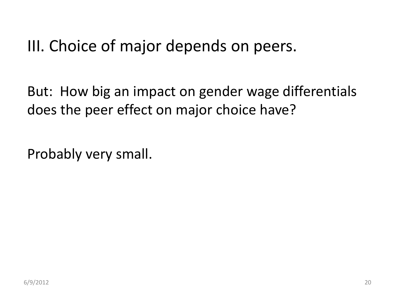### III. Choice of major depends on peers.

But: How big an impact on gender wage differentials does the peer effect on major choice have?

Probably very small.